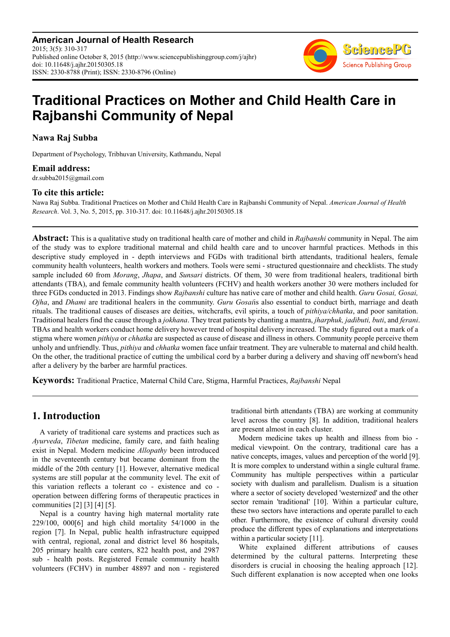**American Journal of Health Research** 2015; 3(5): 310-317 Published online October 8, 2015 (http://www.sciencepublishinggroup.com/j/ajhr) doi: 10.11648/j.ajhr.20150305.18 ISSN: 2330-8788 (Print); ISSN: 2330-8796 (Online)



# **Traditional Practices on Mother and Child Health Care in Rajbanshi Community of Nepal**

**Nawa Raj Subba** 

Department of Psychology, Tribhuvan University, Kathmandu, Nepal

### **Email address:**

dr.subba2015@gmail.com

### **To cite this article:**

Nawa Raj Subba. Traditional Practices on Mother and Child Health Care in Rajbanshi Community of Nepal. *American Journal of Health Research*. Vol. 3, No. 5, 2015, pp. 310-317. doi: 10.11648/j.ajhr.20150305.18

**Abstract:** This is a qualitative study on traditional health care of mother and child in *Rajbanshi* community in Nepal. The aim of the study was to explore traditional maternal and child health care and to uncover harmful practices. Methods in this descriptive study employed in - depth interviews and FGDs with traditional birth attendants, traditional healers, female community health volunteers, health workers and mothers. Tools were semi - structured questionnaire and checklists. The study sample included 60 from *Morang*, *Jhapa*, and *Sunsari* districts. Of them, 30 were from traditional healers, traditional birth attendants (TBA), and female community health volunteers (FCHV) and health workers another 30 were mothers included for three FGDs conducted in 2013. Findings show *Rajbanshi* culture has native care of mother and child health. *Guru Gosai, Gosai, Ojha*, and *Dhami* are traditional healers in the community. *Guru Gosai*is also essential to conduct birth, marriage and death rituals. The traditional causes of diseases are deities, witchcrafts, evil spirits, a touch of *pithiya/chhatka*, and poor sanitation. Traditional healers find the cause through a *jokhana*. They treat patients by chanting a mantra, *jharphuk, jadibuti, buti*, and *ferani*. TBAs and health workers conduct home delivery however trend of hospital delivery increased. The study figured out a mark of a stigma where women *pithiya* or *chhatka* are suspected as cause of disease and illness in others. Community people perceive them unholy and unfriendly. Thus, *pithiya* and *chhatka* women face unfair treatment. They are vulnerable to maternal and child health. On the other, the traditional practice of cutting the umbilical cord by a barber during a delivery and shaving off newborn's head after a delivery by the barber are harmful practices.

**Keywords:** Traditional Practice, Maternal Child Care, Stigma, Harmful Practices, *Rajbanshi* Nepal

# **1. Introduction**

A variety of traditional care systems and practices such as *Ayurveda*, *Tibetan* medicine, family care, and faith healing exist in Nepal. Modern medicine *Allopathy* been introduced in the seventeenth century but became dominant from the middle of the 20th century [1]. However, alternative medical systems are still popular at the community level. The exit of this variation reflects a tolerant co - existence and co operation between differing forms of therapeutic practices in communities [2] [3] [4] [5].

Nepal is a country having high maternal mortality rate 229/100, 000[6] and high child mortality 54/1000 in the region [7]. In Nepal, public health infrastructure equipped with central, regional, zonal and district level 86 hospitals, 205 primary health care centers, 822 health post, and 2987 sub - health posts. Registered Female community health volunteers (FCHV) in number 48897 and non - registered traditional birth attendants (TBA) are working at community level across the country [8]. In addition, traditional healers are present almost in each cluster.

Modern medicine takes up health and illness from bio medical viewpoint. On the contrary, traditional care has a native concepts, images, values and perception of the world [9]. It is more complex to understand within a single cultural frame. Community has multiple perspectives within a particular society with dualism and parallelism. Dualism is a situation where a sector of society developed 'westernized' and the other sector remain 'traditional' [10]. Within a particular culture, these two sectors have interactions and operate parallel to each other. Furthermore, the existence of cultural diversity could produce the different types of explanations and interpretations within a particular society [11].

White explained different attributions of causes determined by the cultural patterns. Interpreting these disorders is crucial in choosing the healing approach [12]. Such different explanation is now accepted when one looks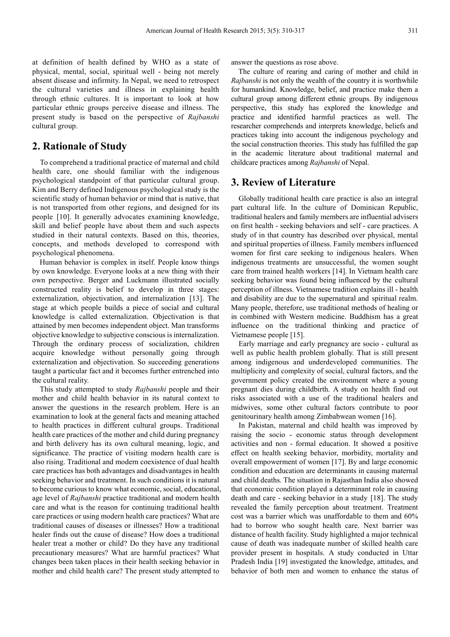at definition of health defined by WHO as a state of physical, mental, social, spiritual well - being not merely absent disease and infirmity. In Nepal, we need to retrospect the cultural varieties and illness in explaining health through ethnic cultures. It is important to look at how particular ethnic groups perceive disease and illness. The present study is based on the perspective of *Rajbanshi* cultural group.

# **2. Rationale of Study**

To comprehend a traditional practice of maternal and child health care, one should familiar with the indigenous psychological standpoint of that particular cultural group. Kim and Berry defined Indigenous psychological study is the scientific study of human behavior or mind that is native, that is not transported from other regions, and designed for its people [10]. It generally advocates examining knowledge, skill and belief people have about them and such aspects studied in their natural contexts. Based on this, theories, concepts, and methods developed to correspond with psychological phenomena.

Human behavior is complex in itself. People know things by own knowledge. Everyone looks at a new thing with their own perspective. Berger and Luckmann illustrated socially constructed reality is belief to develop in three stages: externalization, objectivation, and internalization [13]. The stage at which people builds a piece of social and cultural knowledge is called externalization. Objectivation is that attained by men becomes independent object. Man transforms objective knowledge to subjective conscious is internalization. Through the ordinary process of socialization, children acquire knowledge without personally going through externalization and objectivation. So succeeding generations taught a particular fact and it becomes further entrenched into the cultural reality.

This study attempted to study *Rajbanshi* people and their mother and child health behavior in its natural context to answer the questions in the research problem. Here is an examination to look at the general facts and meaning attached to health practices in different cultural groups. Traditional health care practices of the mother and child during pregnancy and birth delivery has its own cultural meaning, logic, and significance. The practice of visiting modern health care is also rising. Traditional and modern coexistence of dual health care practices has both advantages and disadvantages in health seeking behavior and treatment. In such conditions it is natural to become curious to know what economic, social, educational, age level of *Rajbanshi* practice traditional and modern health care and what is the reason for continuing traditional health care practices or using modern health care practices? What are traditional causes of diseases or illnesses? How a traditional healer finds out the cause of disease? How does a traditional healer treat a mother or child? Do they have any traditional precautionary measures? What are harmful practices? What changes been taken places in their health seeking behavior in mother and child health care? The present study attempted to

answer the questions as rose above.

The culture of rearing and caring of mother and child in *Rajbanshi* is not only the wealth of the country it is worthwhile for humankind. Knowledge, belief, and practice make them a cultural group among different ethnic groups. By indigenous perspective, this study has explored the knowledge and practice and identified harmful practices as well. The researcher comprehends and interprets knowledge, beliefs and practices taking into account the indigenous psychology and the social construction theories. This study has fulfilled the gap in the academic literature about traditional maternal and childcare practices among *Rajbanshi* of Nepal.

### **3. Review of Literature**

Globally traditional health care practice is also an integral part cultural life. In the culture of Dominican Republic, traditional healers and family members are influential advisers on first health - seeking behaviors and self - care practices. A study of in that country has described over physical, mental and spiritual properties of illness. Family members influenced women for first care seeking to indigenous healers. When indigenous treatments are unsuccessful, the women sought care from trained health workers [14]. In Vietnam health care seeking behavior was found being influenced by the cultural perception of illness. Vietnamese tradition explains ill - health and disability are due to the supernatural and spiritual realm. Many people, therefore, use traditional methods of healing or in combined with Western medicine. Buddhism has a great influence on the traditional thinking and practice of Vietnamese people [15].

Early marriage and early pregnancy are socio - cultural as well as public health problem globally. That is still present among indigenous and underdeveloped communities. The multiplicity and complexity of social, cultural factors, and the government policy created the environment where a young pregnant dies during childbirth. A study on health find out risks associated with a use of the traditional healers and midwives, some other cultural factors contribute to poor genitourinary health among Zimbabwean women [16].

In Pakistan, maternal and child health was improved by raising the socio - economic status through development activities and non - formal education. It showed a positive effect on health seeking behavior, morbidity, mortality and overall empowerment of women [17]. By and large economic condition and education are determinants in causing maternal and child deaths. The situation in Rajasthan India also showed that economic condition played a determinant role in causing death and care - seeking behavior in a study [18]. The study revealed the family perception about treatment. Treatment cost was a barrier which was unaffordable to them and 60% had to borrow who sought health care. Next barrier was distance of health facility. Study highlighted a major technical cause of death was inadequate number of skilled health care provider present in hospitals. A study conducted in Uttar Pradesh India [19] investigated the knowledge, attitudes, and behavior of both men and women to enhance the status of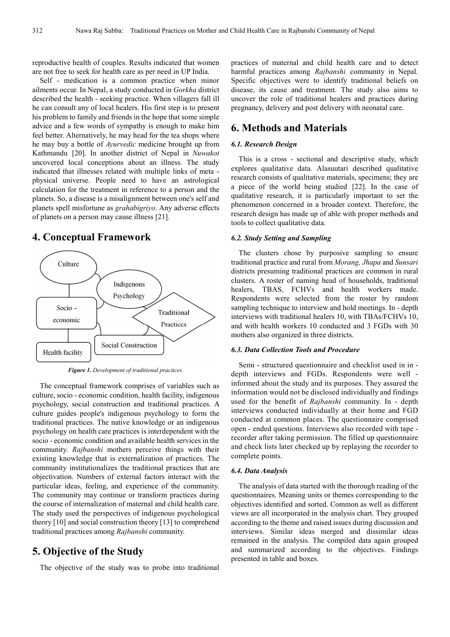reproductive health of couples. Results indicated that women are not free to seek for health care as per need in UP India.

Self - medication is a common practice when minor ailments occur. In Nepal, a study conducted in *Gorkha* district described the health - seeking practice. When villagers fall ill he can consult any of local healers. His first step is to present his problem to family and friends in the hope that some simple advice and a few words of sympathy is enough to make him feel better. Alternatively, he may head for the tea shops where he may buy a bottle of *Ayurvedic* medicine brought up from Kathmandu [20]. In another district of Nepal in *Nuwakot* uncovered local conceptions about an illness. The study indicated that illnesses related with multiple links of meta physical universe. People need to have an astrological calculation for the treatment in reference to a person and the planets. So, a disease is a misalignment between one's self and planets spell misfortune as *grahabigriyo*. Any adverse effects of planets on a person may cause illness [21].

### **4. Conceptual Framework**



*Figure 1. Development of traditional practices.* 

The conceptual framework comprises of variables such as culture, socio - economic condition, health facility, indigenous psychology, social construction and traditional practices. A culture guides people's indigenous psychology to form the traditional practices. The native knowledge or an indigenous psychology on health care practices is interdependent with the socio - economic condition and available health services in the community. *Rajbanshi* mothers perceive things with their existing knowledge that is externalization of practices. The community institutionalizes the traditional practices that are objectivation. Numbers of external factors interact with the particular ideas, feeling, and experience of the community. The community may continue or transform practices during the course of internalization of maternal and child health care. The study used the perspectives of indigenous psychological theory [10] and social construction theory [13] to comprehend traditional practices among *Rajbanshi* community.

# **5. Objective of the Study**

The objective of the study was to probe into traditional

practices of maternal and child health care and to detect harmful practices among *Rajbanshi* community in Nepal. Specific objectives were to identify traditional beliefs on disease, its cause and treatment. The study also aims to uncover the role of traditional healers and practices during pregnancy, delivery and post delivery with neonatal care.

# **6. Methods and Materials**

#### *6.1. Research Design*

This is a cross - sectional and descriptive study, which explores qualitative data. Alasuutari described qualitative research consists of qualitative materials, specimens; they are a piece of the world being studied [22]. In the case of qualitative research, it is particularly important to set the phenomenon concerned in a broader context. Therefore, the research design has made up of able with proper methods and tools to collect qualitative data.

### *6.2. Study Setting and Sampling*

The clusters chose by purposive sampling to ensure traditional practice and rural from *Morang, Jhapa* and *Sunsari*  districts presuming traditional practices are common in rural clusters. A roster of naming head of households, traditional healers, TBAS, FCHVs and health workers made. Respondents were selected from the roster by random sampling technique to interview and hold meetings. In - depth interviews with traditional healers 10, with TBAs/FCHVs 10, and with health workers 10 conducted and 3 FGDs with 30 mothers also organized in three districts.

#### *6.3. Data Collection Tools and Procedure*

Semi - structured questionnaire and checklist used in in depth interviews and FGDs. Respondents were well informed about the study and its purposes. They assured the information would not be disclosed individually and findings used for the benefit of *Rajbanshi* community. In - depth interviews conducted individually at their home and FGD conducted at common places. The questionnaire comprised open - ended questions. Interviews also recorded with tape recorder after taking permission. The filled up questionnaire and check lists later checked up by replaying the recorder to complete points.

#### *6.4. Data Analysis*

The analysis of data started with the thorough reading of the questionnaires. Meaning units or themes corresponding to the objectives identified and sorted. Common as well as different views are all incorporated in the analysis chart. They grouped according to the theme and raised issues during discussion and interviews. Similar ideas merged and dissimilar ideas remained in the analysis. The compiled data again grouped and summarized according to the objectives. Findings presented in table and boxes.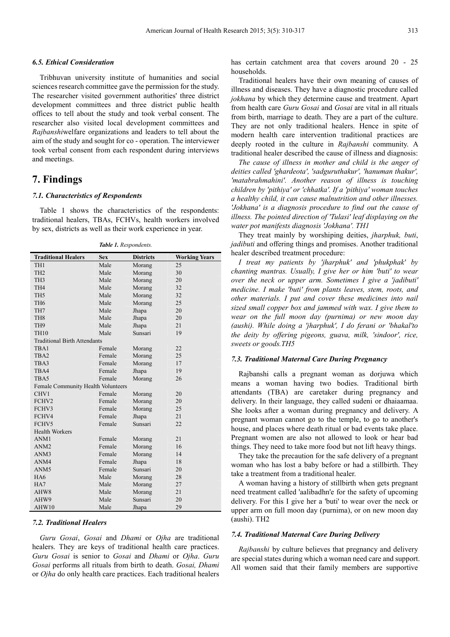### *6.5. Ethical Consideration*

Tribhuvan university institute of humanities and social sciences research committee gave the permission for the study. The researcher visited government authorities' three district development committees and three district public health offices to tell about the study and took verbal consent. The researcher also visited local development committees and *Rajbanshi*welfare organizations and leaders to tell about the aim of the study and sought for co - operation. The interviewer took verbal consent from each respondent during interviews and meetings.

# **7. Findings**

### *7.1. Characteristics of Respondents*

Table 1 shows the characteristics of the respondents: traditional healers, TBAs, FCHVs, health workers involved by sex, districts as well as their work experience in year.

*Table 1. Respondents.* 

| <b>Traditional Healers</b>          | <b>Sex</b> | <b>Districts</b> | <b>Working Years</b> |
|-------------------------------------|------------|------------------|----------------------|
| TH <sub>1</sub>                     | Male       | Morang           | 25                   |
| TH <sub>2</sub>                     | Male       | Morang           | 30                   |
| TH <sub>3</sub>                     | Male       | Morang           | 20                   |
| TH <sub>4</sub>                     | Male       | Morang           | 32                   |
| TH <sub>5</sub>                     | Male       | Morang           | 32                   |
| TH <sub>6</sub>                     | Male       | Morang           | 25                   |
| TH7                                 | Male       | Jhapa            | 20                   |
| TH <sub>8</sub>                     | Male       | Jhapa            | 20                   |
| TH <sub>9</sub>                     | Male       | Jhapa            | 21                   |
| <b>TH10</b>                         | Male       | Sunsari          | 19                   |
| <b>Traditional Birth Attendants</b> |            |                  |                      |
| TBA1                                | Female     | Morang           | 22                   |
| TBA <sub>2</sub>                    | Female     | Morang           | 25                   |
| TBA3                                | Female     | Morang           | 17                   |
| TBA4                                | Female     | Jhapa            | 19                   |
| TBA5                                | Female     | Morang           | 26                   |
| Female Community Health Volunteers  |            |                  |                      |
| CHV1                                | Female     | Morang           | 20                   |
| FCHV2                               | Female     | Morang           | 20                   |
| FCHV3                               | Female     | Morang           | 25                   |
| FCHV4                               | Female     | Jhapa            | 21                   |
| FCHV5                               | Female     | Sunsari          | 22                   |
| <b>Health Workers</b>               |            |                  |                      |
| ANM1                                | Female     | Morang           | 21                   |
| ANM <sub>2</sub>                    | Female     | Morang           | 16                   |
| ANM3                                | Female     | Morang           | 14                   |
| ANM4                                | Female     | Jhapa            | 18                   |
| ANM <sub>5</sub>                    | Female     | Sunsari          | 20                   |
| HA6                                 | Male       | Morang           | 28                   |
| HA7                                 | Male       | Morang           | 27                   |
| AHW8                                | Male       | Morang           | 21                   |
| AHW9                                | Male       | Sunsari          | 20                   |
| AHW10                               | Male       | Jhapa            | 29                   |

#### *7.2. Traditional Healers*

*Guru Gosai*, *Gosai* and *Dhami* or *Ojha* are traditional healers. They are keys of traditional health care practices. *Guru Gosai* is senior to *Gosai* and *Dhami* or *Ojha*. *Guru Gosai* performs all rituals from birth to death. *Gosai, Dhami* or *Ojha* do only health care practices. Each traditional healers

has certain catchment area that covers around 20 - 25 households.

Traditional healers have their own meaning of causes of illness and diseases. They have a diagnostic procedure called *jokhana* by which they determine cause and treatment. Apart from health care *Guru Gosai* and *Gosai* are vital in all rituals from birth, marriage to death. They are a part of the culture. They are not only traditional healers. Hence in spite of modern health care intervention traditional practices are deeply rooted in the culture in *Rajbanshi* community. A traditional healer described the cause of illness and diagnosis:

*The cause of illness in mother and child is the anger of deities called 'ghardeota', 'sadguruthakur', 'hanuman thakur', 'matabrahmahini'. Another reason of illness is touching children by 'pithiya' or 'chhatka'. If a 'pithiya' woman touches a healthy child, it can cause malnutrition and other illnesses. 'Jokhana' is a diagnosis procedure to find out the cause of illness. The pointed direction of 'Tulasi' leaf displaying on the water pot manifests diagnosis 'Jokhana'. TH1* 

They treat mainly by worshiping deities, *jharphuk, buti*, *jadibuti* and offering things and promises. Another traditional healer described treatment procedure:

*I treat my patients by 'jharphuk' and 'phukphak' by chanting mantras. Usually, I give her or him 'buti' to wear over the neck or upper arm. Sometimes I give a 'jadibuti' medicine. I make 'buti' from plants leaves, stem, roots, and other materials. I put and cover these medicines into nail sized small copper box and jammed with wax. I give them to wear on the full moon day (purnima) or new moon day (aushi). While doing a 'jharphuk', I do ferani or 'bhakal'to the deity by offering pigeons, guava, milk, 'sindoor', rice, sweets or goods.TH5* 

### *7.3. Traditional Maternal Care During Pregnancy*

Rajbanshi calls a pregnant woman as dorjuwa which means a woman having two bodies. Traditional birth attendants (TBA) are caretaker during pregnancy and delivery. In their language, they called sudeni or dhaiaamaa. She looks after a woman during pregnancy and delivery. A pregnant woman cannot go to the temple, to go to another's house, and places where death ritual or bad events take place. Pregnant women are also not allowed to look or hear bad things. They need to take more food but not lift heavy things.

They take the precaution for the safe delivery of a pregnant woman who has lost a baby before or had a stillbirth. They take a treatment from a traditional healer.

A woman having a history of stillbirth when gets pregnant need treatment called 'aalibadhn'e for the safety of upcoming delivery. For this I give her a 'buti' to wear over the neck or upper arm on full moon day (purnima), or on new moon day (aushi). TH2

#### *7.4. Traditional Maternal Care During Delivery*

*Rajbanshi* by culture believes that pregnancy and delivery are special states during which a woman need care and support. All women said that their family members are supportive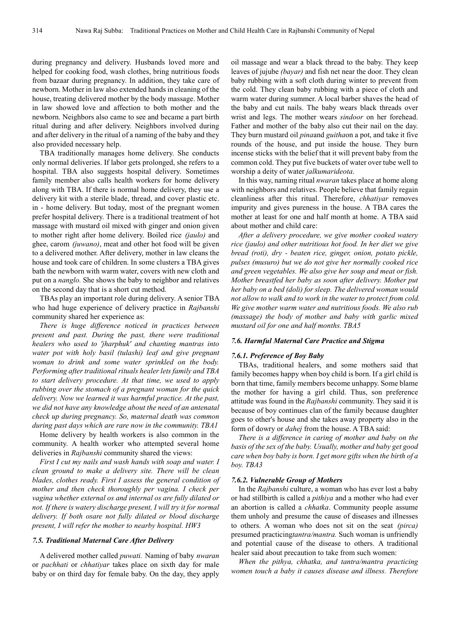during pregnancy and delivery. Husbands loved more and helped for cooking food, wash clothes, bring nutritious foods from bazaar during pregnancy. In addition, they take care of newborn. Mother in law also extended hands in cleaning of the house, treating delivered mother by the body massage. Mother in law showed love and affection to both mother and the newborn. Neighbors also came to see and became a part birth ritual during and after delivery. Neighbors involved during and after delivery in the ritual of a naming of the baby and they also provided necessary help.

TBA traditionally manages home delivery. She conducts only normal deliveries. If labor gets prolonged, she refers to a hospital. TBA also suggests hospital delivery. Sometimes family member also calls health workers for home delivery along with TBA. If there is normal home delivery, they use a delivery kit with a sterile blade, thread, and cover plastic etc. in - home delivery. But today, most of the pregnant women prefer hospital delivery. There is a traditional treatment of hot massage with mustard oil mixed with ginger and onion given to mother right after home delivery. Boiled rice *(jaulo)* and ghee, carom *(juwano)*, meat and other hot food will be given to a delivered mother. After delivery, mother in law cleans the house and took care of children. In some clusters a TBA gives bath the newborn with warm water, covers with new cloth and put on a *nanglo.* She shows the baby to neighbor and relatives on the second day that is a short cut method.

TBAs play an important role during delivery. A senior TBA who had huge experience of delivery practice in *Rajbanshi*  community shared her experience as:

*There is huge difference noticed in practices between present and past. During the past, there were traditional healers who used to 'jharphuk' and chanting mantras into water pot with holy basil (tulashi) leaf and give pregnant woman to drink and some water sprinkled on the body. Performing after traditional rituals healer lets family and TBA to start delivery procedure. At that time, we used to apply rubbing over the stomach of a pregnant woman for the quick delivery. Now we learned it was harmful practice. At the past, we did not have any knowledge about the need of an antenatal check up during pregnancy. So, maternal death was common during past days which are rare now in the community. TBA1* 

Home delivery by health workers is also common in the community. A health worker who attempted several home deliveries in *Rajbanshi* community shared the views:

*First I cut my nails and wash hands with soap and water. I clean ground to make a delivery site. There will be clean blades, clothes ready. First I assess the general condition of mother and then check thoroughly per vagina. I check per vagina whether external os and internal os are fully dilated or not. If there is watery discharge present, I will try it for normal delivery. If both osare not fully dilated or blood discharge present, I will refer the mother to nearby hospital. HW3* 

#### *7.5. Traditional Maternal Care After Delivery*

A delivered mother called *puwati.* Naming of baby *nwaran* or *pachhati* or *chhatiyar* takes place on sixth day for male baby or on third day for female baby. On the day, they apply oil massage and wear a black thread to the baby. They keep leaves of jujube *(bayar)* and fish net near the door. They clean baby rubbing with a soft cloth during winter to prevent from the cold. They clean baby rubbing with a piece of cloth and warm water during summer. A local barber shaves the head of the baby and cut nails. The baby wears black threads over wrist and legs. The mother wears *sindoor* on her forehead. Father and mother of the baby also cut their nail on the day. They burn mustard oil *pina*and *guitha*on a pot, and take it five rounds of the house, and put inside the house. They burn incense sticks with the belief that it will prevent baby from the common cold. They put five buckets of water over tube well to worship a deity of water *jalkumarideota*.

In this way, naming ritual *nwaran* takes place at home along with neighbors and relatives. People believe that family regain cleanliness after this ritual. Therefore, *chhatiyar* removes impurity and gives pureness in the house. A TBA cares the mother at least for one and half month at home. A TBA said about mother and child care:

*After a delivery procedure, we give mother cooked watery rice (jaulo) and other nutritious hot food. In her diet we give bread (roti), dry - beaten rice, ginger, onion, potato pickle, pulses (musuro) but we do not give her normally cooked rice and green vegetables. We also give her soup and meat or fish. Mother breastfed her baby as soon after delivery. Mother put her baby on a bed (doli) for sleep. The delivered woman would not allow to walk and to work in the water to protect from cold. We give mother warm water and nutritious foods. We also rub (massage) the body of mother and baby with garlic mixed mustard oil for one and half months. TBA5* 

#### *7.6. Harmful Maternal Care Practice and Stigma*

#### *7.6.1. Preference of Boy Baby*

TBAs, traditional healers, and some mothers said that family becomes happy when boy child is born. If a girl child is born that time, family members become unhappy. Some blame the mother for having a girl child. Thus, son preference attitude was found in the *Rajbanshi* community. They said it is because of boy continues clan of the family because daughter goes to other's house and she takes away property also in the form of dowry or *dahej* from the house. A TBA said:

*There is a difference in caring of mother and baby on the basis of the sex of the baby. Usually, mother and baby get good care when boy baby is born. I get more gifts when the birth of a boy. TBA3* 

#### *7.6.2. Vulnerable Group of Mothers*

In the *Rajbanshi* culture, a woman who has ever lost a baby or had stillbirth is called a *pithiya* and a mother who had ever an abortion is called a *chhatka*. Community people assume them unholy and presume the cause of diseases and illnesses to others. A woman who does not sit on the seat *(pirca)*  presumed practicing*tantra/mantra.* Such woman is unfriendly and potential cause of the disease to others. A traditional healer said about precaution to take from such women:

*When the pithya, chhatka, and tantra/mantra practicing women touch a baby it causes disease and illness. Therefore*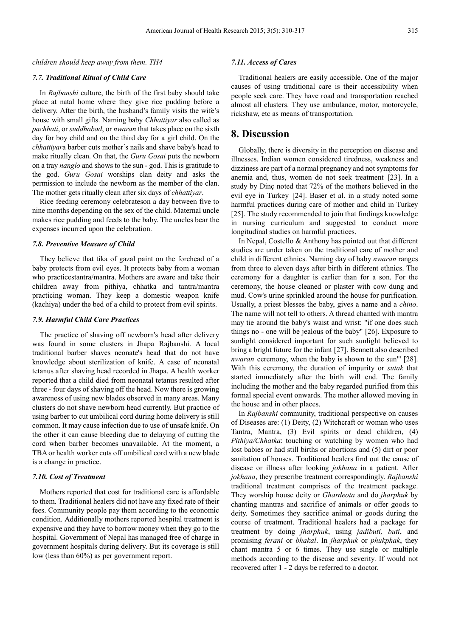#### *children should keep away from them. TH4*

#### *7.7. Traditional Ritual of Child Care*

In *Rajbanshi* culture, the birth of the first baby should take place at natal home where they give rice pudding before a delivery. After the birth, the husband's family visits the wife's house with small gifts. Naming baby *Chhattiyar* also called as *pachhati*, or *suddhabad*, or *nwaran* that takes place on the sixth day for boy child and on the third day for a girl child. On the *chhattiyar*a barber cuts mother's nails and shave baby's head to make ritually clean. On that, the *Guru Gosai* puts the newborn on a tray *nanglo* and shows to the sun - god. This is gratitude to the god. *Guru Gosai* worships clan deity and asks the permission to include the newborn as the member of the clan. The mother gets ritually clean after six days of *chhattiyar*.

Rice feeding ceremony celebrateson a day between five to nine months depending on the sex of the child. Maternal uncle makes rice pudding and feeds to the baby. The uncles bear the expenses incurred upon the celebration.

#### *7.8. Preventive Measure of Child*

They believe that tika of gazal paint on the forehead of a baby protects from evil eyes. It protects baby from a woman who practicestantra/mantra. Mothers are aware and take their children away from pithiya, chhatka and tantra/mantra practicing woman. They keep a domestic weapon knife (kachiya) under the bed of a child to protect from evil spirits.

#### *7.9. Harmful Child Care Practices*

The practice of shaving off newborn's head after delivery was found in some clusters in Jhapa Rajbanshi. A local traditional barber shaves neonate's head that do not have knowledge about sterilization of knife. A case of neonatal tetanus after shaving head recorded in Jhapa. A health worker reported that a child died from neonatal tetanus resulted after three - four days of shaving off the head. Now there is growing awareness of using new blades observed in many areas. Many clusters do not shave newborn head currently. But practice of using barber to cut umbilical cord during home delivery is still common. It may cause infection due to use of unsafe knife. On the other it can cause bleeding due to delaying of cutting the cord when barber becomes unavailable. At the moment, a TBA or health worker cuts off umbilical cord with a new blade is a change in practice.

#### *7.10. Cost of Treatment*

Mothers reported that cost for traditional care is affordable to them. Traditional healers did not have any fixed rate of their fees. Community people pay them according to the economic condition. Additionally mothers reported hospital treatment is expensive and they have to borrow money when they go to the hospital. Government of Nepal has managed free of charge in government hospitals during delivery. But its coverage is still low (less than 60%) as per government report.

#### *7.11. Access of Cares*

Traditional healers are easily accessible. One of the major causes of using traditional care is their accessibility when people seek care. They have road and transportation reached almost all clusters. They use ambulance, motor, motorcycle, rickshaw, etc as means of transportation.

### **8. Discussion**

Globally, there is diversity in the perception on disease and illnesses. Indian women considered tiredness, weakness and dizziness are part of a normal pregnancy and not symptoms for anemia and, thus, women do not seek treatment [23]. In a study by Dinç noted that 72% of the mothers believed in the evil eye in Turkey [24]. Baser et al. in a study noted some harmful practices during care of mother and child in Turkey [25]. The study recommended to join that findings knowledge in nursing curriculum and suggested to conduct more longitudinal studies on harmful practices.

In Nepal, Costello & Anthony has pointed out that different studies are under taken on the traditional care of mother and child in different ethnics. Naming day of baby *nwaran* ranges from three to eleven days after birth in different ethnics. The ceremony for a daughter is earlier than for a son. For the ceremony, the house cleaned or plaster with cow dung and mud. Cow's urine sprinkled around the house for purification. Usually, a priest blesses the baby, gives a name and a *chino*. The name will not tell to others. A thread chanted with mantra may tie around the baby's waist and wrist: "if one does such things no - one will be jealous of the baby" [26]. Exposure to sunlight considered important for such sunlight believed to bring a bright future for the infant [27]. Bennett also described *nwaran* ceremony, when the baby is shown to the sun'" [28]. With this ceremony, the duration of impurity or *sutak* that started immediately after the birth will end. The family including the mother and the baby regarded purified from this formal special event onwards. The mother allowed moving in the house and in other places.

In *Rajbanshi* community, traditional perspective on causes of Diseases are: (1) Deity, (2) Witchcraft or woman who uses Tantra, Mantra, (3) Evil spirits or dead children, (4) *Pithiya/Chhatka*: touching or watching by women who had lost babies or had still births or abortions and (5) dirt or poor sanitation of houses. Traditional healers find out the cause of disease or illness after looking *jokhana* in a patient. After *jokhana*, they prescribe treatment correspondingly. *Rajbanshi* traditional treatment comprises of the treatment package. They worship house deity or *Ghardeota* and do *jharphuk* by chanting mantras and sacrifice of animals or offer goods to deity. Sometimes they sacrifice animal or goods during the course of treatment. Traditional healers had a package for treatment by doing *jharphuk*, using *jadibuti, buti*, and promising *ferani* or *bhakal*. In *jharphuk* or *phukphak*, they chant mantra 5 or 6 times. They use single or multiple methods according to the disease and severity. If would not recovered after 1 - 2 days be referred to a doctor.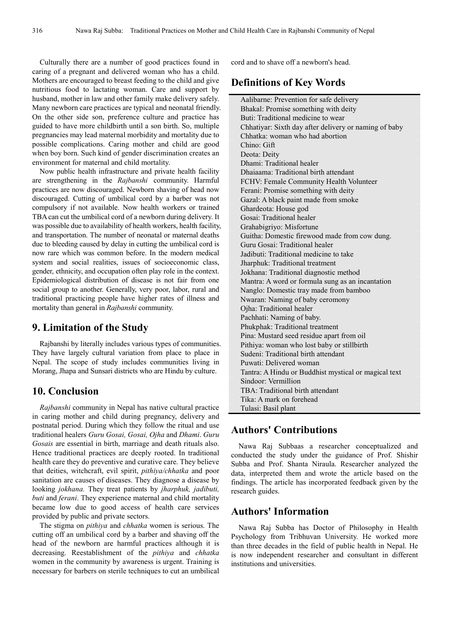Culturally there are a number of good practices found in caring of a pregnant and delivered woman who has a child. Mothers are encouraged to breast feeding to the child and give nutritious food to lactating woman. Care and support by husband, mother in law and other family make delivery safely. Many newborn care practices are typical and neonatal friendly. On the other side son, preference culture and practice has guided to have more childbirth until a son birth. So, multiple pregnancies may lead maternal morbidity and mortality due to possible complications. Caring mother and child are good when boy born. Such kind of gender discrimination creates an environment for maternal and child mortality.

Now public health infrastructure and private health facility are strengthening in the *Rajbanshi* community. Harmful practices are now discouraged. Newborn shaving of head now discouraged. Cutting of umbilical cord by a barber was not compulsory if not available. Now health workers or trained TBA can cut the umbilical cord of a newborn during delivery. It was possible due to availability of health workers, health facility, and transportation. The number of neonatal or maternal deaths due to bleeding caused by delay in cutting the umbilical cord is now rare which was common before. In the modern medical system and social realities, issues of socioeconomic class, gender, ethnicity, and occupation often play role in the context. Epidemiological distribution of disease is not fair from one social group to another. Generally, very poor, labor, rural and traditional practicing people have higher rates of illness and mortality than general in *Rajbanshi* community.

### **9. Limitation of the Study**

Rajbanshi by literally includes various types of communities. They have largely cultural variation from place to place in Nepal. The scope of study includes communities living in Morang, Jhapa and Sunsari districts who are Hindu by culture.

# **10. Conclusion**

*Rajbanshi* community in Nepal has native cultural practice in caring mother and child during pregnancy, delivery and postnatal period. During which they follow the ritual and use traditional healers *Guru Gosai, Gosai, Ojha* and *Dhami*. *Guru Gosais* are essential in birth, marriage and death rituals also. Hence traditional practices are deeply rooted. In traditional health care they do preventive and curative care. They believe that deities, witchcraft, evil spirit, *pithiya/chhatka* and poor sanitation are causes of diseases. They diagnose a disease by looking *jokhana.* They treat patients by *jharphuk, jadibuti, buti* and *ferani*. They experience maternal and child mortality became low due to good access of health care services provided by public and private sectors.

The stigma on *pithiya* and *chhatka* women is serious. The cutting off an umbilical cord by a barber and shaving off the head of the newborn are harmful practices although it is decreasing. Reestablishment of the *pithiya* and *chhatka* women in the community by awareness is urgent. Training is necessary for barbers on sterile techniques to cut an umbilical cord and to shave off a newborn's head.

# **Definitions of Key Words**

Aalibarne: Prevention for safe delivery Bhakal: Promise something with deity Buti: Traditional medicine to wear Chhatiyar: Sixth day after delivery or naming of baby Chhatka: woman who had abortion Chino: Gift Deota: Deity Dhami: Traditional healer Dhaiaama: Traditional birth attendant FCHV: Female Community Health Volunteer Ferani: Promise something with deity Gazal: A black paint made from smoke Ghardeota: House god Gosai: Traditional healer Grahabigriyo: Misfortune Guitha: Domestic firewood made from cow dung. Guru Gosai: Traditional healer Jadibuti: Traditional medicine to take Jharphuk: Traditional treatment Jokhana: Traditional diagnostic method Mantra: A word or formula sung as an incantation Nanglo: Domestic tray made from bamboo Nwaran: Naming of baby ceromony Ojha: Traditional healer Pachhati: Naming of baby. Phukphak: Traditional treatment Pina: Mustard seed residue apart from oil Pithiya: woman who lost baby or stillbirth Sudeni: Traditional birth attendant Puwati: Delivered woman Tantra: A Hindu or Buddhist mystical or magical text Sindoor: Vermillion TBA: Traditional birth attendant Tika: A mark on forehead Tulasi: Basil plant

# **Authors' Contributions**

Nawa Raj Subbaas a researcher conceptualized and conducted the study under the guidance of Prof. Shishir Subba and Prof. Shanta Niraula. Researcher analyzed the data, interpreted them and wrote the article based on the findings. The article has incorporated feedback given by the research guides.

# **Authors' Information**

Nawa Raj Subba has Doctor of Philosophy in Health Psychology from Tribhuvan University. He worked more than three decades in the field of public health in Nepal. He is now independent researcher and consultant in different institutions and universities.